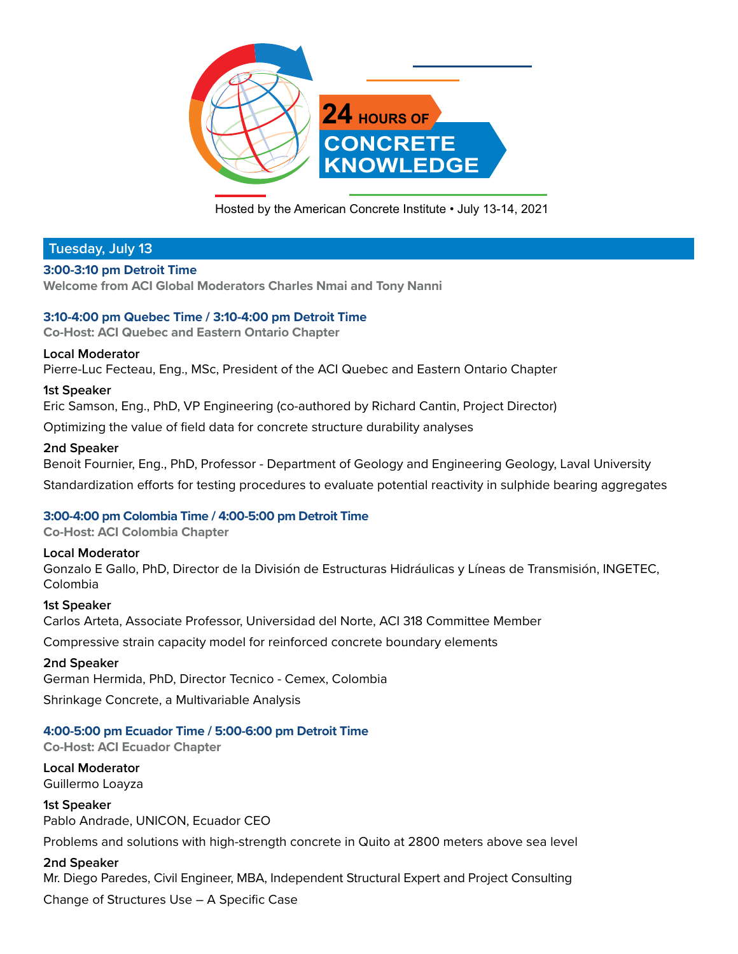

Hosted by the American Concrete Institute • July 13-14, 2021

# **Tuesday, July 13**

## **3:00-3:10 pm Detroit Time**

**Welcome from ACI Global Moderators Charles Nmai and Tony Nanni** 

## **3:10-4:00 pm Quebec Time / 3:10-4:00 pm Detroit Time**

**Co-Host: ACI Quebec and Eastern Ontario Chapter** 

## **Local Moderator**

Pierre-Luc Fecteau, Eng., MSc, President of the ACI Quebec and Eastern Ontario Chapter

## **1st Speaker**

Eric Samson, Eng., PhD, VP Engineering (co-authored by Richard Cantin, Project Director)

Optimizing the value of field data for concrete structure durability analyses

## **2nd Speaker**

Benoit Fournier, Eng., PhD, Professor - Department of Geology and Engineering Geology, Laval University Standardization efforts for testing procedures to evaluate potential reactivity in sulphide bearing aggregates

# **3:00-4:00 pm Colombia Time / 4:00-5:00 pm Detroit Time**

**Co-Host: ACI Colombia Chapter**

**Local Moderator** Gonzalo E Gallo, PhD, Director de la División de Estructuras Hidráulicas y Líneas de Transmisión, INGETEC, Colombia

**1st Speaker** Carlos Arteta, Associate Professor, Universidad del Norte, ACI 318 Committee Member

Compressive strain capacity model for reinforced concrete boundary elements

# **2nd Speaker**

German Hermida, PhD, Director Tecnico - Cemex, Colombia

Shrinkage Concrete, a Multivariable Analysis

# **4:00-5:00 pm Ecuador Time / 5:00-6:00 pm Detroit Time**

**Co-Host: ACI Ecuador Chapter**

**Local Moderator** Guillermo Loayza

**1st Speaker** Pablo Andrade, UNICON, Ecuador CEO

Problems and solutions with high-strength concrete in Quito at 2800 meters above sea level

## **2nd Speaker**

Mr. Diego Paredes, Civil Engineer, MBA, Independent Structural Expert and Project Consulting Change of Structures Use – A Specific Case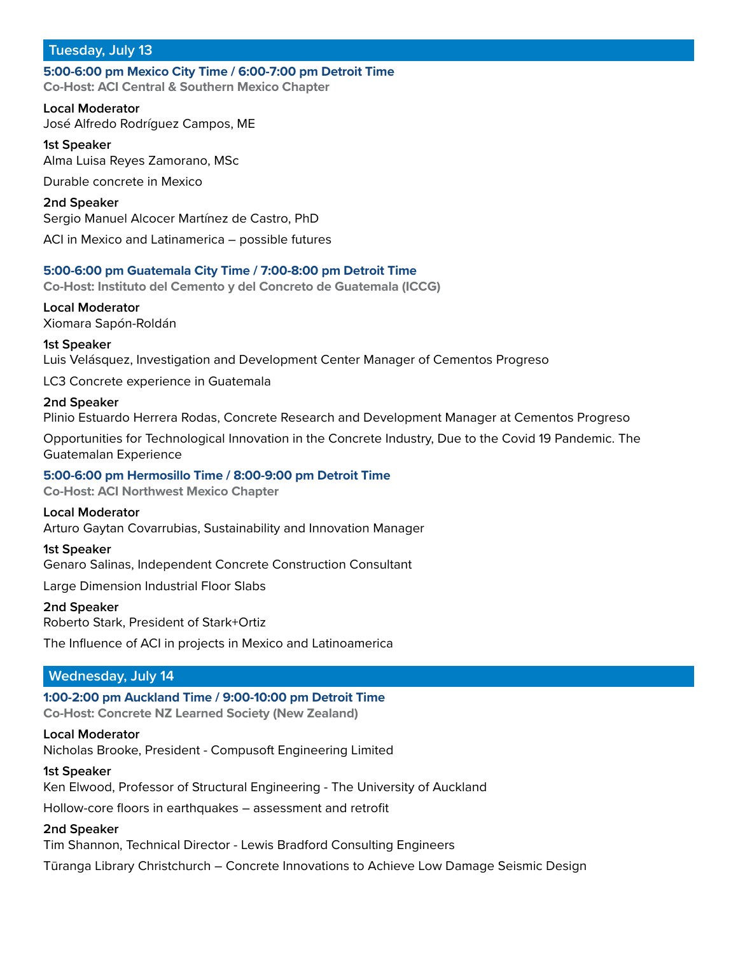# **Tuesday, July 13**

## **5:00-6:00 pm Mexico City Time / 6:00-7:00 pm Detroit Time Co-Host: ACI Central & Southern Mexico Chapter**

**Local Moderator** José Alfredo Rodríguez Campos, ME

**1st Speaker** Alma Luisa Reyes Zamorano, MSc Durable concrete in Mexico **2nd Speaker** Sergio Manuel Alcocer Martínez de Castro, PhD

ACI in Mexico and Latinamerica – possible futures

# **5:00-6:00 pm Guatemala City Time / 7:00-8:00 pm Detroit Time**

**Co-Host: Instituto del Cemento y del Concreto de Guatemala (ICCG)**

# **Local Moderator**

Xiomara Sapón-Roldán

## **1st Speaker**

Luis Velásquez, Investigation and Development Center Manager of Cementos Progreso

LC3 Concrete experience in Guatemala

## **2nd Speaker**

Plinio Estuardo Herrera Rodas, Concrete Research and Development Manager at Cementos Progreso

Opportunities for Technological Innovation in the Concrete Industry, Due to the Covid 19 Pandemic. The Guatemalan Experience

## **5:00-6:00 pm Hermosillo Time / 8:00-9:00 pm Detroit Time**

**Co-Host: ACI Northwest Mexico Chapter**

## **Local Moderator**

Arturo Gaytan Covarrubias, Sustainability and Innovation Manager

## **1st Speaker**

Genaro Salinas, Independent Concrete Construction Consultant

Large Dimension Industrial Floor Slabs

## **2nd Speaker**

Roberto Stark, President of Stark+Ortiz

The Influence of ACI in projects in Mexico and Latinoamerica

# **Wednesday, July 14**

# **1:00-2:00 pm Auckland Time / 9:00-10:00 pm Detroit Time**

**Co-Host: Concrete NZ Learned Society (New Zealand)**

## **Local Moderator**

Nicholas Brooke, President - Compusoft Engineering Limited

## **1st Speaker**

Ken Elwood, Professor of Structural Engineering - The University of Auckland

Hollow-core floors in earthquakes – assessment and retrofit

## **2nd Speaker**

Tim Shannon, Technical Director - Lewis Bradford Consulting Engineers

Tūranga Library Christchurch – Concrete Innovations to Achieve Low Damage Seismic Design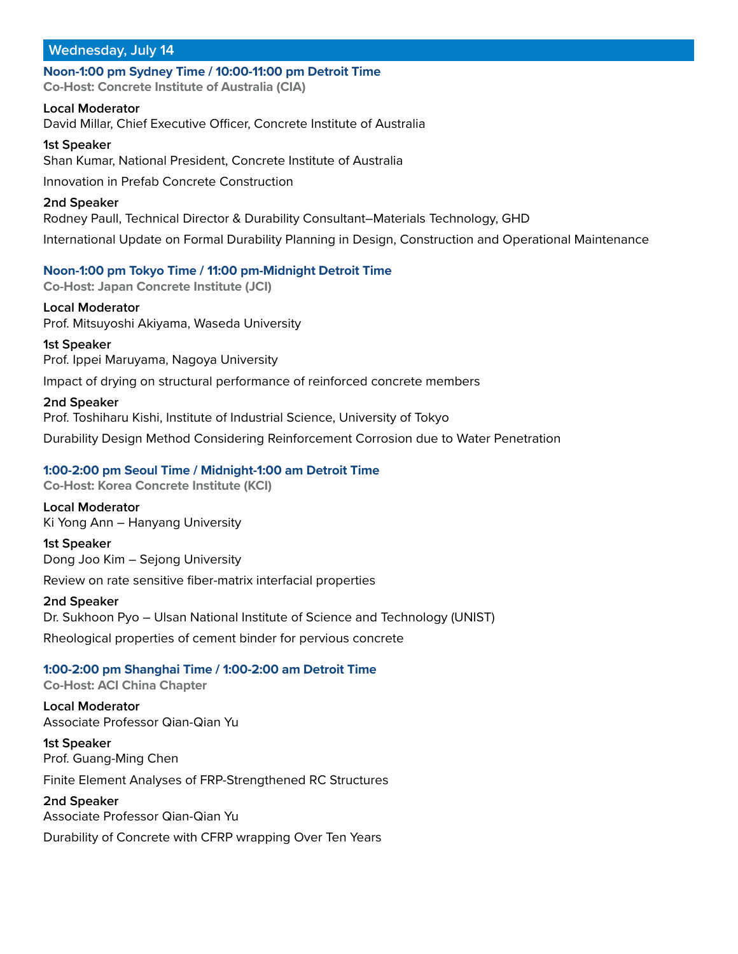**Noon-1:00 pm Sydney Time / 10:00-11:00 pm Detroit Time Co-Host: Concrete Institute of Australia (CIA)**

**Local Moderator** David Millar, Chief Executive Officer, Concrete Institute of Australia

**1st Speaker** Shan Kumar, National President, Concrete Institute of Australia Innovation in Prefab Concrete Construction **2nd Speaker** Rodney Paull, Technical Director & Durability Consultant–Materials Technology, GHD

International Update on Formal Durability Planning in Design, Construction and Operational Maintenance

## **Noon-1:00 pm Tokyo Time / 11:00 pm-Midnight Detroit Time**

**Co-Host: Japan Concrete Institute (JCI)**

**Local Moderator** Prof. Mitsuyoshi Akiyama, Waseda University

**1st Speaker** Prof. Ippei Maruyama, Nagoya University

Impact of drying on structural performance of reinforced concrete members

#### **2nd Speaker**

Prof. Toshiharu Kishi, Institute of Industrial Science, University of Tokyo

Durability Design Method Considering Reinforcement Corrosion due to Water Penetration

## **1:00-2:00 pm Seoul Time / Midnight-1:00 am Detroit Time**

**Co-Host: Korea Concrete Institute (KCI)**

**Local Moderator** Ki Yong Ann – Hanyang University

**1st Speaker** Dong Joo Kim – Sejong University Review on rate sensitive fiber-matrix interfacial properties

**2nd Speaker**

Dr. Sukhoon Pyo – Ulsan National Institute of Science and Technology (UNIST)

Rheological properties of cement binder for pervious concrete

## **1:00-2:00 pm Shanghai Time / 1:00-2:00 am Detroit Time**

**Co-Host: ACI China Chapter**

**Local Moderator** Associate Professor Qian-Qian Yu

**1st Speaker** Prof. Guang-Ming Chen Finite Element Analyses of FRP-Strengthened RC Structures

# **2nd Speaker** Associate Professor Qian-Qian Yu

Durability of Concrete with CFRP wrapping Over Ten Years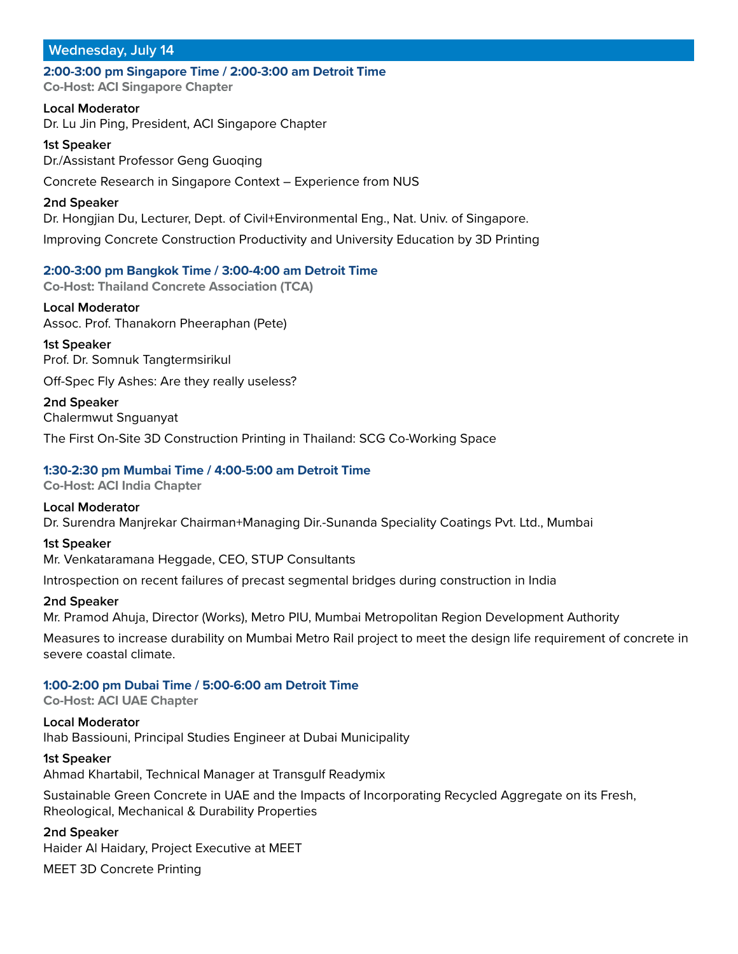**2:00-3:00 pm Singapore Time / 2:00-3:00 am Detroit Time Co-Host: ACI Singapore Chapter**

**Local Moderator** Dr. Lu Jin Ping, President, ACI Singapore Chapter

**1st Speaker** Dr./Assistant Professor Geng Guoqing

Concrete Research in Singapore Context – Experience from NUS

## **2nd Speaker**

Dr. Hongjian Du, Lecturer, Dept. of Civil+Environmental Eng., Nat. Univ. of Singapore.

Improving Concrete Construction Productivity and University Education by 3D Printing

## **2:00-3:00 pm Bangkok Time / 3:00-4:00 am Detroit Time**

**Co-Host: Thailand Concrete Association (TCA)**

**Local Moderator** Assoc. Prof. Thanakorn Pheeraphan (Pete)

**1st Speaker** Prof. Dr. Somnuk Tangtermsirikul

Off-Spec Fly Ashes: Are they really useless?

**2nd Speaker** Chalermwut Snguanyat

The First On-Site 3D Construction Printing in Thailand: SCG Co-Working Space

## **1:30-2:30 pm Mumbai Time / 4:00-5:00 am Detroit Time**

**Co-Host: ACI India Chapter**

**Local Moderator** Dr. Surendra Manjrekar Chairman+Managing Dir.-Sunanda Speciality Coatings Pvt. Ltd., Mumbai

## **1st Speaker**

Mr. Venkataramana Heggade, CEO, STUP Consultants

Introspection on recent failures of precast segmental bridges during construction in India

## **2nd Speaker**

Mr. Pramod Ahuja, Director (Works), Metro PIU, Mumbai Metropolitan Region Development Authority

Measures to increase durability on Mumbai Metro Rail project to meet the design life requirement of concrete in severe coastal climate.

## **1:00-2:00 pm Dubai Time / 5:00-6:00 am Detroit Time**

**Co-Host: ACI UAE Chapter**

**Local Moderator** Ihab Bassiouni, Principal Studies Engineer at Dubai Municipality

**1st Speaker**

Ahmad Khartabil, Technical Manager at Transgulf Readymix

Sustainable Green Concrete in UAE and the Impacts of Incorporating Recycled Aggregate on its Fresh, Rheological, Mechanical & Durability Properties

**2nd Speaker**

Haider Al Haidary, Project Executive at MEET

MEET 3D Concrete Printing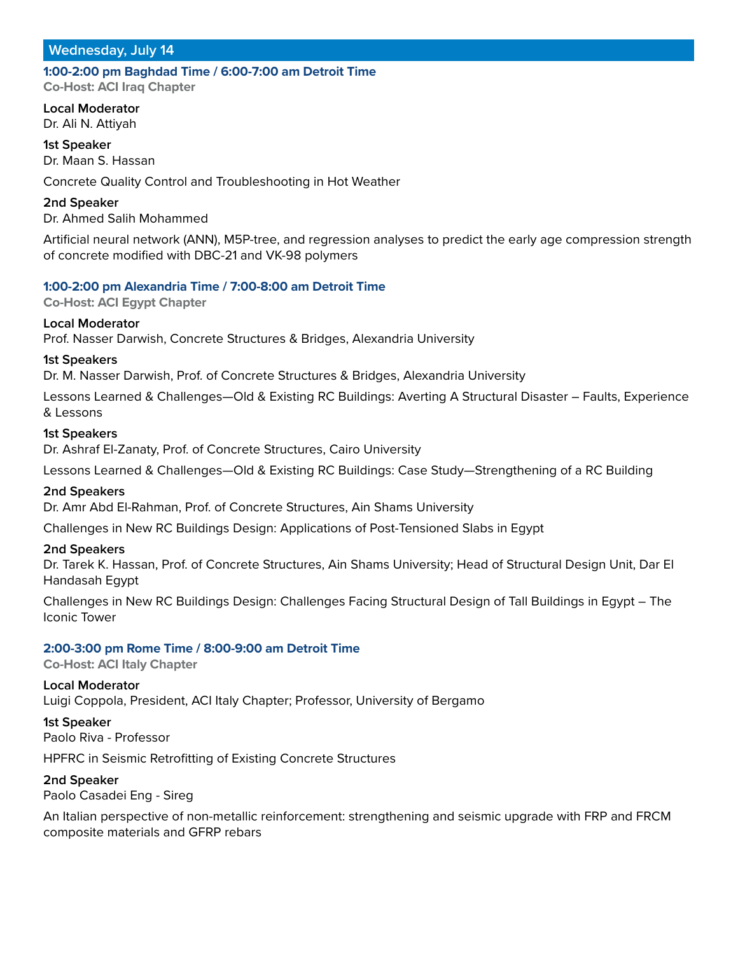# **1:00-2:00 pm Baghdad Time / 6:00-7:00 am Detroit Time**

**Co-Host: ACI Iraq Chapter**

**Local Moderator** Dr. Ali N. Attiyah

**1st Speaker** Dr. Maan S. Hassan

Concrete Quality Control and Troubleshooting in Hot Weather

**2nd Speaker**

Dr. Ahmed Salih Mohammed

Artificial neural network (ANN), M5P-tree, and regression analyses to predict the early age compression strength of concrete modified with DBC-21 and VK-98 polymers

## **1:00-2:00 pm Alexandria Time / 7:00-8:00 am Detroit Time**

**Co-Host: ACI Egypt Chapter**

## **Local Moderator**

Prof. Nasser Darwish, Concrete Structures & Bridges, Alexandria University

## **1st Speakers**

Dr. M. Nasser Darwish, Prof. of Concrete Structures & Bridges, Alexandria University

Lessons Learned & Challenges—Old & Existing RC Buildings: Averting A Structural Disaster – Faults, Experience & Lessons

## **1st Speakers**

Dr. Ashraf El-Zanaty, Prof. of Concrete Structures, Cairo University

Lessons Learned & Challenges—Old & Existing RC Buildings: Case Study—Strengthening of a RC Building

## **2nd Speakers**

Dr. Amr Abd El-Rahman, Prof. of Concrete Structures, Ain Shams University

Challenges in New RC Buildings Design: Applications of Post-Tensioned Slabs in Egypt

## **2nd Speakers**

Dr. Tarek K. Hassan, Prof. of Concrete Structures, Ain Shams University; Head of Structural Design Unit, Dar El Handasah Egypt

Challenges in New RC Buildings Design: Challenges Facing Structural Design of Tall Buildings in Egypt – The Iconic Tower

## **2:00-3:00 pm Rome Time / 8:00-9:00 am Detroit Time**

**Co-Host: ACI Italy Chapter**

**Local Moderator** Luigi Coppola, President, ACI Italy Chapter; Professor, University of Bergamo

**1st Speaker** Paolo Riva - Professor

HPFRC in Seismic Retrofitting of Existing Concrete Structures

**2nd Speaker**

Paolo Casadei Eng - Sireg

An Italian perspective of non-metallic reinforcement: strengthening and seismic upgrade with FRP and FRCM composite materials and GFRP rebars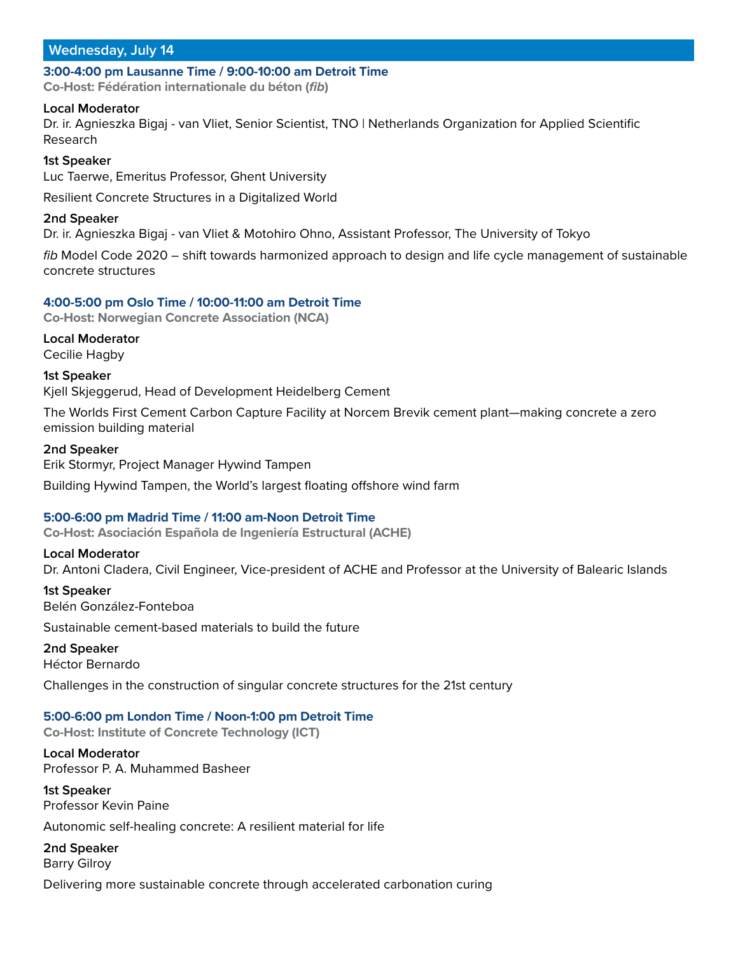#### **3:00-4:00 pm Lausanne Time / 9:00-10:00 am Detroit Time**

**Co-Host: Fédération internationale du béton (fib)**

#### **Local Moderator**

Dr. ir. Agnieszka Bigaj - van Vliet, Senior Scientist, TNO | Netherlands Organization for Applied Scientific Research

#### **1st Speaker**

Luc Taerwe, Emeritus Professor, Ghent University

Resilient Concrete Structures in a Digitalized World

#### **2nd Speaker**

Dr. ir. Agnieszka Bigaj - van Vliet & Motohiro Ohno, Assistant Professor, The University of Tokyo

fib Model Code 2020 - shift towards harmonized approach to design and life cycle management of sustainable concrete structures

#### **4:00-5:00 pm Oslo Time / 10:00-11:00 am Detroit Time**

**Co-Host: Norwegian Concrete Association (NCA)**

**Local Moderator** Cecilie Hagby

**1st Speaker**

Kjell Skjeggerud, Head of Development Heidelberg Cement

The Worlds First Cement Carbon Capture Facility at Norcem Brevik cement plant—making concrete a zero emission building material

#### **2nd Speaker**

Erik Stormyr, Project Manager Hywind Tampen

Building Hywind Tampen, the World's largest floating offshore wind farm

## **5:00-6:00 pm Madrid Time / 11:00 am-Noon Detroit Time**

**Co-Host: Asociación Española de Ingeniería Estructural (ACHE)**

#### **Local Moderator**

Dr. Antoni Cladera, Civil Engineer, Vice-president of ACHE and Professor at the University of Balearic Islands

# **1st Speaker**

Belén González-Fonteboa

Sustainable cement-based materials to build the future

## **2nd Speaker**

Héctor Bernardo

Challenges in the construction of singular concrete structures for the 21st century

## **5:00-6:00 pm London Time / Noon-1:00 pm Detroit Time**

**Co-Host: Institute of Concrete Technology (ICT)**

**Local Moderator** Professor P. A. Muhammed Basheer

**1st Speaker** Professor Kevin Paine

Autonomic self-healing concrete: A resilient material for life

**2nd Speaker** Barry Gilroy

Delivering more sustainable concrete through accelerated carbonation curing